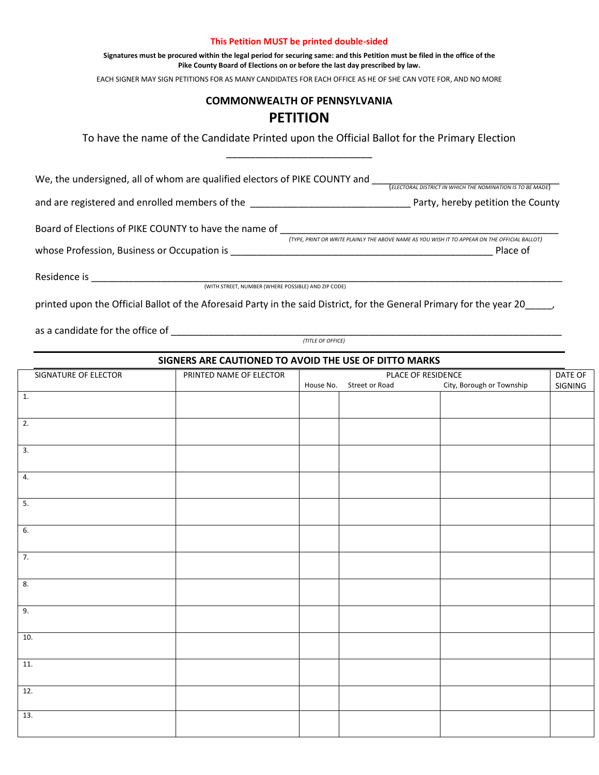## **This Petition MUST be printed double-sided**

**Signatures must be procured within the legal period for securing same: and this Petition must be filed in the office of the Pike County Board of Elections on or before the last day prescribed by law.**

EACH SIGNER MAY SIGN PETITIONS FOR AS MANY CANDIDATES FOR EACH OFFICE AS HE OF SHE CAN VOTE FOR, AND NO MORE

## **COMMONWEALTH OF PENNSYLVANIA PETITION**

To have the name of the Candidate Printed upon the Official Ballot for the Primary Election \_\_\_\_\_\_\_\_\_\_\_\_\_\_\_\_\_\_\_\_\_\_\_\_\_

We, the undersigned, all of whom are qualified electors of PIKE COUNTY and \_\_\_\_\_\_\_\_\_\_\_\_\_\_\_\_\_\_\_\_\_\_\_\_\_\_\_\_\_\_\_\_\_\_\_ (*ELECTORAL DISTRICT IN WHICH THE NOMINATION IS TO BE MADE*)

and are registered and enrolled members of the \_\_\_\_\_\_\_\_\_\_\_\_\_\_\_\_\_\_\_\_\_\_\_\_\_\_\_\_\_\_ Party, hereby petition the County

Board of Elections of PIKE COUNTY to have the name of \_\_\_\_\_\_\_\_\_\_\_\_\_\_\_\_\_\_\_\_\_\_\_\_\_\_\_\_\_\_\_\_\_\_\_\_\_\_\_\_\_\_\_\_\_\_\_\_\_\_\_\_

 *(TYPE, PRINT OR WRITE PLAINLY THE ABOVE NAME AS YOU WISH IT TO APPEAR ON THE OFFICIAL BALLOT)* whose Profession, Business or Occupation is \_\_\_\_\_\_\_\_\_\_\_\_\_\_\_\_\_\_\_\_\_\_\_\_\_\_\_\_\_\_\_\_\_\_\_\_\_\_\_\_\_\_\_\_\_\_\_\_\_ Place of

Residence is \_\_\_\_\_\_\_\_\_\_\_\_\_\_\_\_\_\_\_\_\_\_\_\_\_\_\_\_\_\_\_\_\_\_\_\_\_\_\_\_\_\_\_\_\_\_\_\_\_\_\_\_\_\_\_\_\_\_\_\_\_\_\_\_\_\_\_\_\_\_\_\_\_\_\_\_\_\_\_\_\_\_\_\_\_\_\_\_

(WITH STREET, NUMBER (WHERE POSSIBLE) AND ZIP CODE)

printed upon the Official Ballot of the Aforesaid Party in the said District, for the General Primary for the year 20

as a candidate for the office of \_\_\_\_\_\_\_\_\_\_\_\_\_\_\_\_\_\_\_\_\_\_\_\_\_\_\_\_\_\_\_\_\_\_\_\_\_\_\_\_\_\_\_\_\_\_\_\_\_\_\_\_\_\_\_\_\_\_\_\_\_\_\_\_\_\_\_\_\_\_\_\_\_

 *(TITLE OF OFFICE)*

## **SIGNERS ARE CAUTIONED TO AVOID THE USE OF DITTO MARKS**

| SIGNATURE OF ELECTOR | PRINTED NAME OF ELECTOR | DATE OF<br>PLACE OF RESIDENCE |                |                           |         |  |
|----------------------|-------------------------|-------------------------------|----------------|---------------------------|---------|--|
|                      |                         | House No.                     | Street or Road | City, Borough or Township | SIGNING |  |
| $\overline{1}$ .     |                         |                               |                |                           |         |  |
|                      |                         |                               |                |                           |         |  |
| $\overline{2}$ .     |                         |                               |                |                           |         |  |
|                      |                         |                               |                |                           |         |  |
| $\overline{3}$ .     |                         |                               |                |                           |         |  |
|                      |                         |                               |                |                           |         |  |
|                      |                         |                               |                |                           |         |  |
| $\overline{4}$ .     |                         |                               |                |                           |         |  |
|                      |                         |                               |                |                           |         |  |
| $\overline{5}$ .     |                         |                               |                |                           |         |  |
|                      |                         |                               |                |                           |         |  |
| 6.                   |                         |                               |                |                           |         |  |
|                      |                         |                               |                |                           |         |  |
|                      |                         |                               |                |                           |         |  |
| 7.                   |                         |                               |                |                           |         |  |
|                      |                         |                               |                |                           |         |  |
| 8.                   |                         |                               |                |                           |         |  |
|                      |                         |                               |                |                           |         |  |
| 9.                   |                         |                               |                |                           |         |  |
|                      |                         |                               |                |                           |         |  |
| 10.                  |                         |                               |                |                           |         |  |
|                      |                         |                               |                |                           |         |  |
|                      |                         |                               |                |                           |         |  |
| $\overline{11}$ .    |                         |                               |                |                           |         |  |
|                      |                         |                               |                |                           |         |  |
| 12.                  |                         |                               |                |                           |         |  |
|                      |                         |                               |                |                           |         |  |
| 13.                  |                         |                               |                |                           |         |  |
|                      |                         |                               |                |                           |         |  |
|                      |                         |                               |                |                           |         |  |